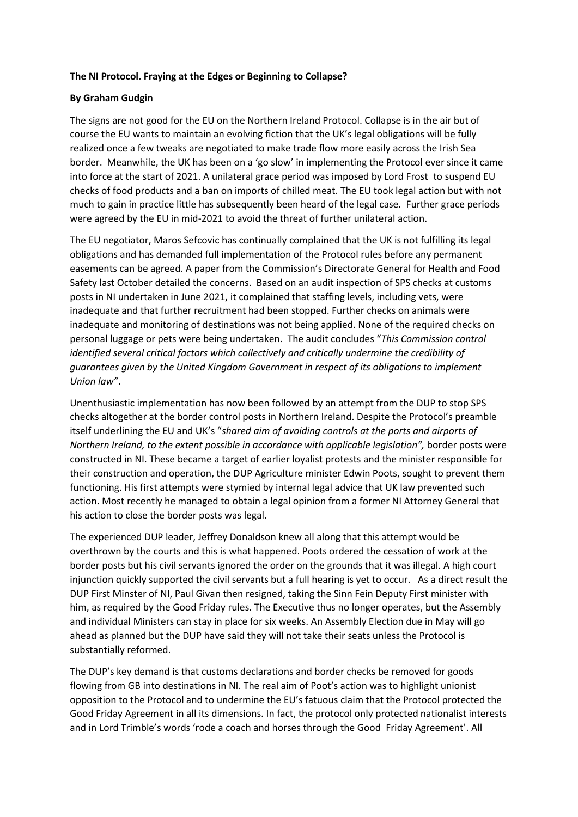## **The NI Protocol. Fraying at the Edges or Beginning to Collapse?**

## **By Graham Gudgin**

The signs are not good for the EU on the Northern Ireland Protocol. Collapse is in the air but of course the EU wants to maintain an evolving fiction that the UK's legal obligations will be fully realized once a few tweaks are negotiated to make trade flow more easily across the Irish Sea border. Meanwhile, the UK has been on a 'go slow' in implementing the Protocol ever since it came into force at the start of 2021. A unilateral grace period was imposed by Lord Frost to suspend EU checks of food products and a ban on imports of chilled meat. The EU took legal action but with not much to gain in practice little has subsequently been heard of the legal case. Further grace periods were agreed by the EU in mid-2021 to avoid the threat of further unilateral action.

The EU negotiator, Maros Sefcovic has continually complained that the UK is not fulfilling its legal obligations and has demanded full implementation of the Protocol rules before any permanent easements can be agreed. A paper from the Commission's Directorate General for Health and Food Safety last October detailed the concerns. Based on an audit inspection of SPS checks at customs posts in NI undertaken in June 2021, it complained that staffing levels, including vets, were inadequate and that further recruitment had been stopped. Further checks on animals were inadequate and monitoring of destinations was not being applied. None of the required checks on personal luggage or pets were being undertaken. The audit concludes "*This Commission control identified several critical factors which collectively and critically undermine the credibility of guarantees given by the United Kingdom Government in respect of its obligations to implement Union law"*.

Unenthusiastic implementation has now been followed by an attempt from the DUP to stop SPS checks altogether at the border control posts in Northern Ireland. Despite the Protocol's preamble itself underlining the EU and UK's "*shared aim of avoiding controls at the ports and airports of Northern Ireland, to the extent possible in accordance with applicable legislation",* border posts were constructed in NI. These became a target of earlier loyalist protests and the minister responsible for their construction and operation, the DUP Agriculture minister Edwin Poots, sought to prevent them functioning. His first attempts were stymied by internal legal advice that UK law prevented such action. Most recently he managed to obtain a legal opinion from a former NI Attorney General that his action to close the border posts was legal.

The experienced DUP leader, Jeffrey Donaldson knew all along that this attempt would be overthrown by the courts and this is what happened. Poots ordered the cessation of work at the border posts but his civil servants ignored the order on the grounds that it was illegal. A high court injunction quickly supported the civil servants but a full hearing is yet to occur. As a direct result the DUP First Minster of NI, Paul Givan then resigned, taking the Sinn Fein Deputy First minister with him, as required by the Good Friday rules. The Executive thus no longer operates, but the Assembly and individual Ministers can stay in place for six weeks. An Assembly Election due in May will go ahead as planned but the DUP have said they will not take their seats unless the Protocol is substantially reformed.

The DUP's key demand is that customs declarations and border checks be removed for goods flowing from GB into destinations in NI. The real aim of Poot's action was to highlight unionist opposition to the Protocol and to undermine the EU's fatuous claim that the Protocol protected the Good Friday Agreement in all its dimensions. In fact, the protocol only protected nationalist interests and in Lord Trimble's words 'rode a coach and horses through the Good Friday Agreement'. All